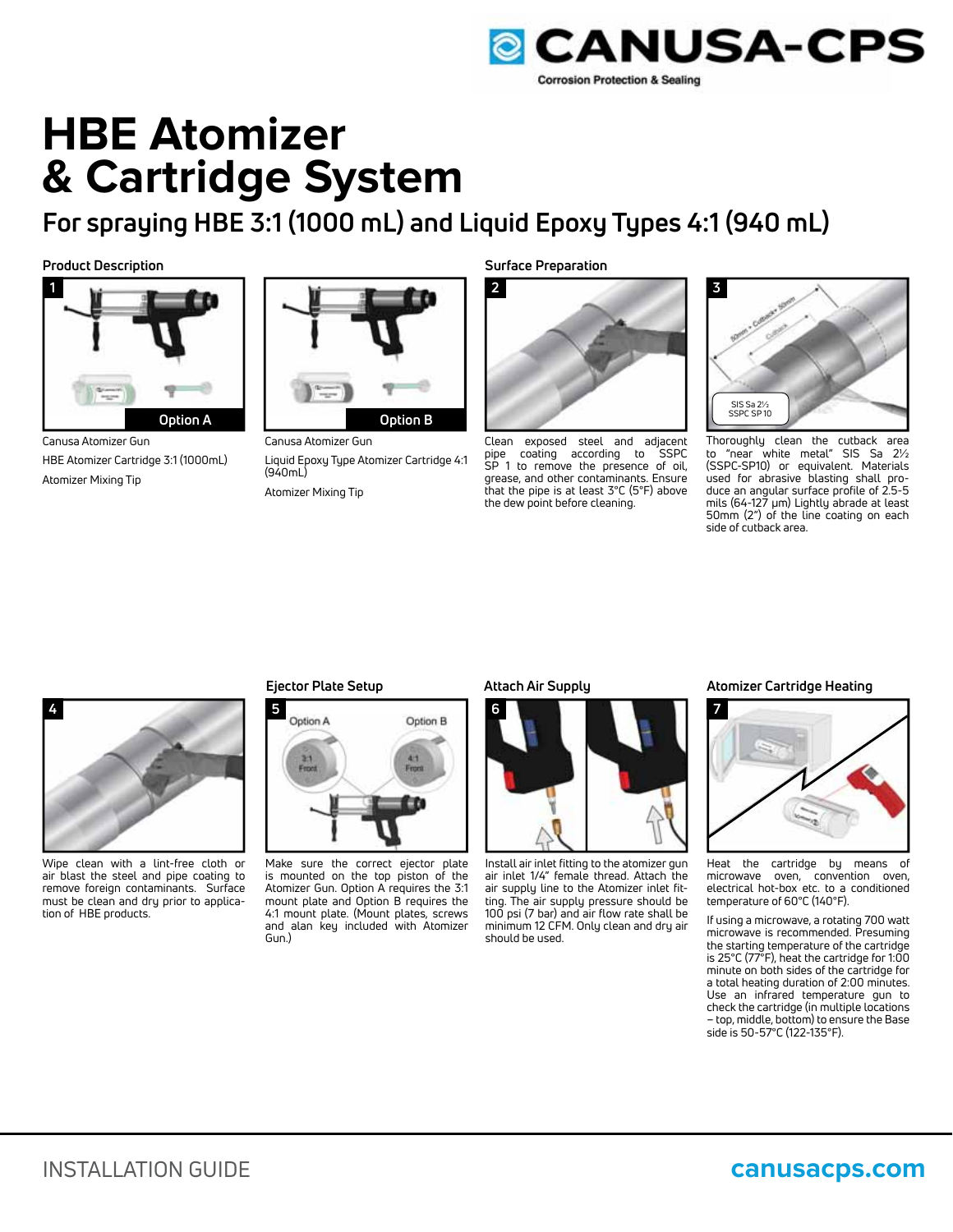

# **HBE Atomizer & Cartridge System**

**For spraying HBE 3:1 (1000 mL) and Liquid Epoxy Types 4:1 (940 mL)**



Canusa Atomizer Gun HBE Atomizer Cartridge 3:1 (1000mL) Atomizer Mixing Tip



Canusa Atomizer Gun Liquid Epoxy Type Atomizer Cartridge 4:1 (940mL) Atomizer Mixing Tip



Clean exposed steel and adjacent pipe coating according to SSPC SP 1 to remove the presence of oil, grease, and other contaminants. Ensure that the pipe is at least 3°C (5°F) above the dew point before cleaning.



Thoroughly clean the cutback area to "near white metal" SIS Sa 2½ (SSPC-SP10) or equivalent. Materials used for abrasive blasting shall produce an angular surface profile of 2.5-5 mils (64-127 μm) Lightly abrade at least 50mm (2") of the line coating on each side of cutback area.



Wipe clean with a lint-free cloth or air blast the steel and pipe coating to remove foreign contaminants. Surface must be clean and dry prior to application of HBE products.



Make sure the correct ejector plate is mounted on the top piston of the Atomizer Gun. Option A requires the 3:1 mount plate and Option B requires the 4:1 mount plate. (Mount plates, screws and alan key included with Atomizer Gun.)



Install air inlet fitting to the atomizer gun air inlet 1/4" female thread. Attach the air supply line to the Atomizer inlet fitting. The air supply pressure should be 100 psi (7 bar) and air flow rate shall be minimum 12 CFM. Only clean and dry air should be used.

#### **Ejector Plate Setup Atomizer Cartridge Heating Attach Air Supply**



Heat the cartridge by means of microwave oven, convention oven, electrical hot-box etc. to a conditioned temperature of 60°C (140°F).

If using a microwave, a rotating 700 watt microwave is recommended. Presuming the starting temperature of the cartridge is 25°C (77°F), heat the cartridge for 1:00 minute on both sides of the cartridge for a total heating duration of 2:00 minutes. Use an infrared temperature gun to check the cartridge (in multiple locations – top, middle, bottom) to ensure the Base side is 50-57°C (122-135°F).